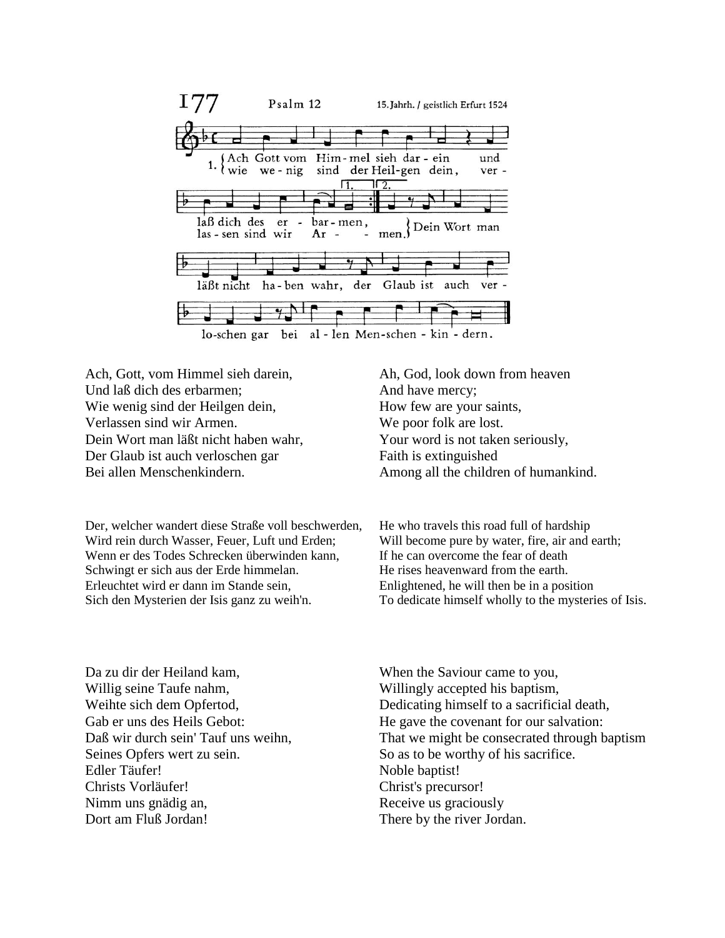

Ach, Gott, vom Himmel sieh darein, Und laß dich des erbarmen; Wie wenig sind der Heilgen dein, Verlassen sind wir Armen. Dein Wort man läßt nicht haben wahr, Der Glaub ist auch verloschen gar Bei allen Menschenkindern.

Der, welcher wandert diese Straße voll beschwerden, Wird rein durch Wasser, Feuer, Luft und Erden; Wenn er des Todes Schrecken überwinden kann, Schwingt er sich aus der Erde himmelan. Erleuchtet wird er dann im Stande sein, Sich den Mysterien der Isis ganz zu weih'n.

Ah, God, look down from heaven And have mercy; How few are your saints, We poor folk are lost. Your word is not taken seriously, Faith is extinguished Among all the children of humankind.

He who travels this road full of hardship Will become pure by water, fire, air and earth; If he can overcome the fear of death He rises heavenward from the earth. Enlightened, he will then be in a position To dedicate himself wholly to the mysteries of Isis.

Da zu dir der Heiland kam, Willig seine Taufe nahm, Weihte sich dem Opfertod, Gab er uns des Heils Gebot: Daß wir durch sein' Tauf uns weihn, Seines Opfers wert zu sein. Edler Täufer! Christs Vorläufer! Nimm uns gnädig an, Dort am Fluß Jordan!

When the Saviour came to you, Willingly accepted his baptism, Dedicating himself to a sacrificial death, He gave the covenant for our salvation: That we might be consecrated through baptism So as to be worthy of his sacrifice. Noble baptist! Christ's precursor! Receive us graciously There by the river Jordan.